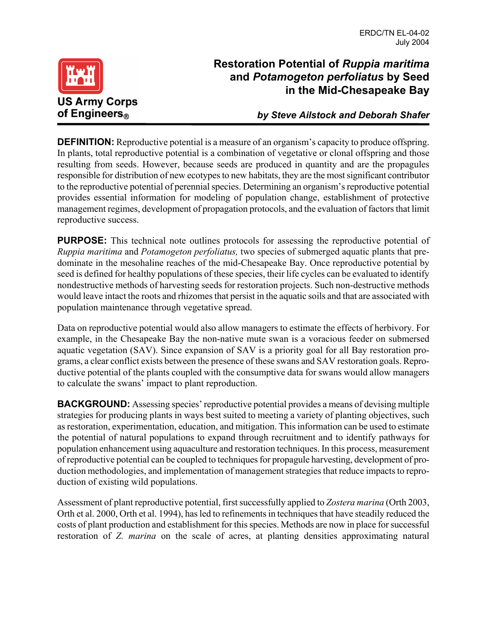

## **Restoration Potential of** *Ruppia maritima* **and** *Potamogeton perfoliatus* **by Seed in the Mid-Chesapeake Bay**

*by Steve Ailstock and Deborah Shafer*

**DEFINITION:** Reproductive potential is a measure of an organism's capacity to produce offspring. In plants, total reproductive potential is a combination of vegetative or clonal offspring and those resulting from seeds. However, because seeds are produced in quantity and are the propagules responsible for distribution of new ecotypes to new habitats, they are the most significant contributor to the reproductive potential of perennial species. Determining an organism's reproductive potential provides essential information for modeling of population change, establishment of protective management regimes, development of propagation protocols, and the evaluation of factors that limit reproductive success.

**PURPOSE:** This technical note outlines protocols for assessing the reproductive potential of *Ruppia maritima* and *Potamogeton perfoliatus,* two species of submerged aquatic plants that predominate in the mesohaline reaches of the mid-Chesapeake Bay. Once reproductive potential by seed is defined for healthy populations of these species, their life cycles can be evaluated to identify nondestructive methods of harvesting seeds for restoration projects. Such non-destructive methods would leave intact the roots and rhizomes that persist in the aquatic soils and that are associated with population maintenance through vegetative spread.

Data on reproductive potential would also allow managers to estimate the effects of herbivory. For example, in the Chesapeake Bay the non-native mute swan is a voracious feeder on submersed aquatic vegetation (SAV). Since expansion of SAV is a priority goal for all Bay restoration programs, a clear conflict exists between the presence of these swans and SAV restoration goals. Reproductive potential of the plants coupled with the consumptive data for swans would allow managers to calculate the swans' impact to plant reproduction.

**BACKGROUND:** Assessing species' reproductive potential provides a means of devising multiple strategies for producing plants in ways best suited to meeting a variety of planting objectives, such as restoration, experimentation, education, and mitigation. This information can be used to estimate the potential of natural populations to expand through recruitment and to identify pathways for population enhancement using aquaculture and restoration techniques. In this process, measurement of reproductive potential can be coupled to techniques for propagule harvesting, development of production methodologies, and implementation of management strategies that reduce impacts to reproduction of existing wild populations.

Assessment of plant reproductive potential, first successfully applied to *Zostera marina* (Orth 2003, Orth et al. 2000, Orth et al. 1994), has led to refinements in techniques that have steadily reduced the costs of plant production and establishment for this species. Methods are now in place for successful restoration of *Z. marina* on the scale of acres, at planting densities approximating natural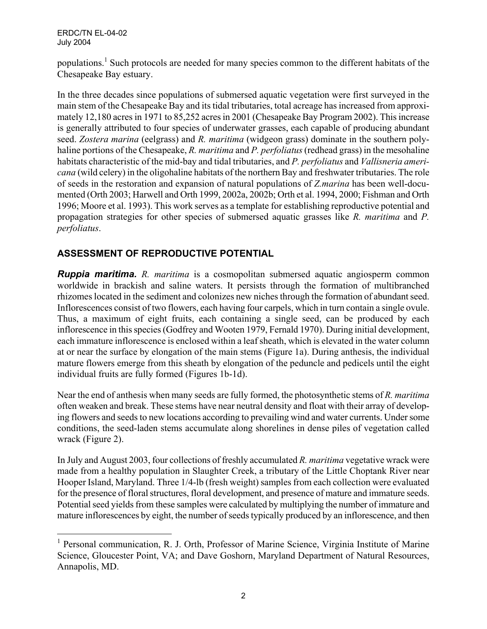ERDC/TN EL-04-02 July 2004

 $\overline{a}$ 

populations.<sup>1</sup> Such protocols are needed for many species common to the different habitats of the Chesapeake Bay estuary.

In the three decades since populations of submersed aquatic vegetation were first surveyed in the main stem of the Chesapeake Bay and its tidal tributaries, total acreage has increased from approximately 12,180 acres in 1971 to 85,252 acres in 2001 (Chesapeake Bay Program 2002). This increase is generally attributed to four species of underwater grasses, each capable of producing abundant seed. *Zostera marina* (eelgrass) and *R. maritima* (widgeon grass) dominate in the southern polyhaline portions of the Chesapeake, *R. maritima* and *P. perfoliatus* (redhead grass) in the mesohaline habitats characteristic of the mid-bay and tidal tributaries, and *P. perfoliatus* and *Vallisneria americana* (wild celery) in the oligohaline habitats of the northern Bay and freshwater tributaries. The role of seeds in the restoration and expansion of natural populations of *Z.marina* has been well-documented (Orth 2003; Harwell and Orth 1999, 2002a, 2002b; Orth et al. 1994, 2000; Fishman and Orth 1996; Moore et al. 1993). This work serves as a template for establishing reproductive potential and propagation strategies for other species of submersed aquatic grasses like *R. maritima* and *P. perfoliatus*.

## **ASSESSMENT OF REPRODUCTIVE POTENTIAL**

*Ruppia maritima. R. maritima* is a cosmopolitan submersed aquatic angiosperm common worldwide in brackish and saline waters. It persists through the formation of multibranched rhizomes located in the sediment and colonizes new niches through the formation of abundant seed. Inflorescences consist of two flowers, each having four carpels, which in turn contain a single ovule. Thus, a maximum of eight fruits, each containing a single seed, can be produced by each inflorescence in this species (Godfrey and Wooten 1979, Fernald 1970). During initial development, each immature inflorescence is enclosed within a leaf sheath, which is elevated in the water column at or near the surface by elongation of the main stems (Figure 1a). During anthesis, the individual mature flowers emerge from this sheath by elongation of the peduncle and pedicels until the eight individual fruits are fully formed (Figures 1b-1d).

Near the end of anthesis when many seeds are fully formed, the photosynthetic stems of *R. maritima* often weaken and break. These stems have near neutral density and float with their array of developing flowers and seeds to new locations according to prevailing wind and water currents. Under some conditions, the seed-laden stems accumulate along shorelines in dense piles of vegetation called wrack (Figure 2).

In July and August 2003, four collections of freshly accumulated *R. maritima* vegetative wrack were made from a healthy population in Slaughter Creek, a tributary of the Little Choptank River near Hooper Island, Maryland. Three 1/4-lb (fresh weight) samples from each collection were evaluated for the presence of floral structures, floral development, and presence of mature and immature seeds. Potential seed yields from these samples were calculated by multiplying the number of immature and mature inflorescences by eight, the number of seeds typically produced by an inflorescence, and then

<sup>&</sup>lt;sup>1</sup> Personal communication, R. J. Orth, Professor of Marine Science, Virginia Institute of Marine Science, Gloucester Point, VA; and Dave Goshorn, Maryland Department of Natural Resources, Annapolis, MD.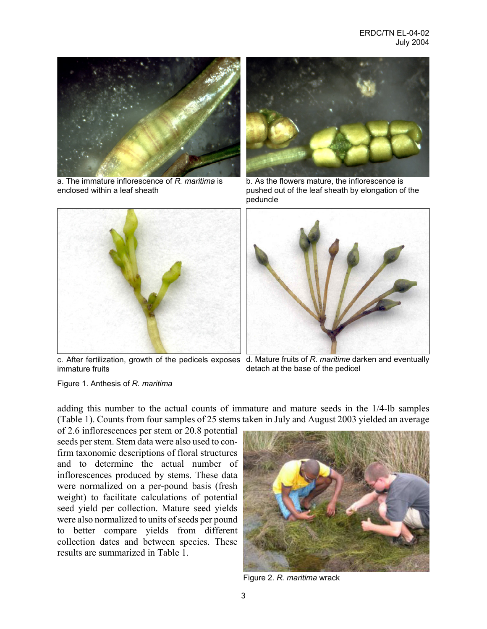

a. The immature inflorescence of *R. maritima* is enclosed within a leaf sheath



b. As the flowers mature, the inflorescence is pushed out of the leaf sheath by elongation of the peduncle





immature fruits

c. After fertilization, growth of the pedicels exposes d. Mature fruits of *R. maritime* darken and eventually detach at the base of the pedicel

Figure 1. Anthesis of *R. maritima*

adding this number to the actual counts of immature and mature seeds in the 1/4-lb samples (Table 1). Counts from four samples of 25 stems taken in July and August 2003 yielded an average

of 2.6 inflorescences per stem or 20.8 potential seeds per stem. Stem data were also used to confirm taxonomic descriptions of floral structures and to determine the actual number of inflorescences produced by stems. These data were normalized on a per-pound basis (fresh weight) to facilitate calculations of potential seed yield per collection. Mature seed yields were also normalized to units of seeds per pound to better compare yields from different collection dates and between species. These results are summarized in Table 1.



Figure 2. *R. maritima* wrack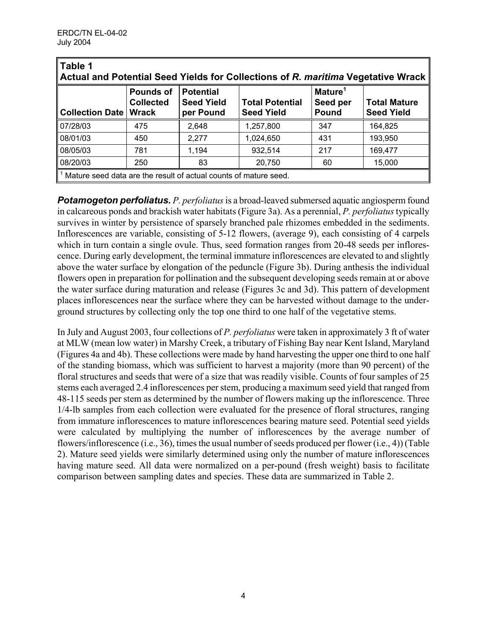| Table 1<br>Actual and Potential Seed Yields for Collections of R. maritima Vegetative Wrack |                                                      |                                                    |                                             |                                          |                                          |  |  |  |
|---------------------------------------------------------------------------------------------|------------------------------------------------------|----------------------------------------------------|---------------------------------------------|------------------------------------------|------------------------------------------|--|--|--|
| <b>Collection Date</b>                                                                      | <b>Pounds of</b><br><b>Collected</b><br><b>Wrack</b> | <b>Potential</b><br><b>Seed Yield</b><br>per Pound | <b>Total Potential</b><br><b>Seed Yield</b> | Mature <sup>1</sup><br>Seed per<br>Pound | <b>Total Mature</b><br><b>Seed Yield</b> |  |  |  |
| 07/28/03                                                                                    | 475                                                  | 2,648                                              | 1,257,800                                   | 347                                      | 164,825                                  |  |  |  |
| 08/01/03                                                                                    | 450                                                  | 2,277                                              | 1,024,650                                   | 431                                      | 193,950                                  |  |  |  |
| 08/05/03                                                                                    | 781                                                  | 1,194                                              | 932,514                                     | 217                                      | 169,477                                  |  |  |  |
| 08/20/03                                                                                    | 250                                                  | 83                                                 | 20,750                                      | 60                                       | 15,000                                   |  |  |  |
| $\parallel$ <sup>1</sup> Mature seed data are the result of actual counts of mature seed.   |                                                      |                                                    |                                             |                                          |                                          |  |  |  |

*Potamogeton perfoliatus. P. perfoliatus* is a broad-leaved submersed aquatic angiosperm found in calcareous ponds and brackish water habitats (Figure 3a). As a perennial, *P. perfoliatus* typically survives in winter by persistence of sparsely branched pale rhizomes embedded in the sediments. Inflorescences are variable, consisting of 5-12 flowers, (average 9), each consisting of 4 carpels which in turn contain a single ovule. Thus, seed formation ranges from 20-48 seeds per inflorescence. During early development, the terminal immature inflorescences are elevated to and slightly above the water surface by elongation of the peduncle (Figure 3b). During anthesis the individual flowers open in preparation for pollination and the subsequent developing seeds remain at or above the water surface during maturation and release (Figures 3c and 3d). This pattern of development places inflorescences near the surface where they can be harvested without damage to the underground structures by collecting only the top one third to one half of the vegetative stems.

In July and August 2003, four collections of *P. perfoliatus* were taken in approximately 3 ft of water at MLW (mean low water) in Marshy Creek, a tributary of Fishing Bay near Kent Island, Maryland (Figures 4a and 4b). These collections were made by hand harvesting the upper one third to one half of the standing biomass, which was sufficient to harvest a majority (more than 90 percent) of the floral structures and seeds that were of a size that was readily visible. Counts of four samples of 25 stems each averaged 2.4 inflorescences per stem, producing a maximum seed yield that ranged from 48-115 seeds per stem as determined by the number of flowers making up the inflorescence. Three 1/4-lb samples from each collection were evaluated for the presence of floral structures, ranging from immature inflorescences to mature inflorescences bearing mature seed. Potential seed yields were calculated by multiplying the number of inflorescences by the average number of flowers/inflorescence (i.e., 36), times the usual number of seeds produced per flower (i.e., 4)) (Table 2). Mature seed yields were similarly determined using only the number of mature inflorescences having mature seed. All data were normalized on a per-pound (fresh weight) basis to facilitate comparison between sampling dates and species. These data are summarized in Table 2.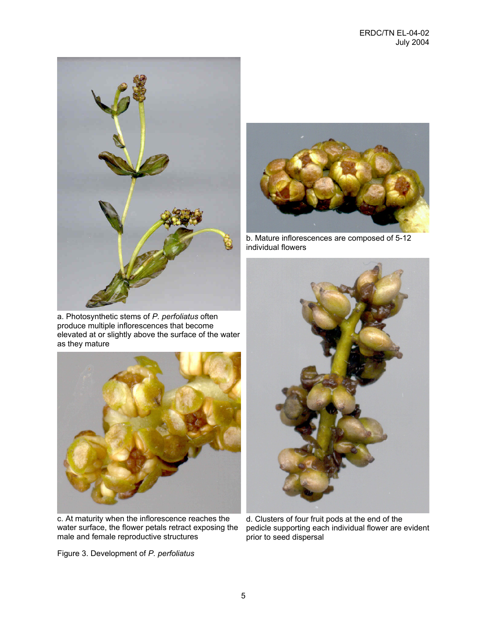

a. Photosynthetic stems of *P. perfoliatus* often produce multiple inflorescences that become elevated at or slightly above the surface of the water as they mature



c. At maturity when the inflorescence reaches the water surface, the flower petals retract exposing the male and female reproductive structures

Figure 3. Development of *P. perfoliatus*



b. Mature inflorescences are composed of 5-12 individual flowers



d. Clusters of four fruit pods at the end of the pedicle supporting each individual flower are evident prior to seed dispersal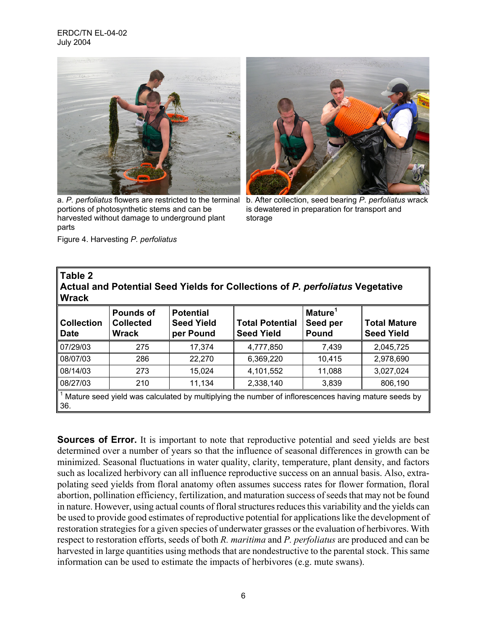## ERDC/TN EL-04-02 July 2004



a. *P. perfoliatus* flowers are restricted to the terminal portions of photosynthetic stems and can be harvested without damage to underground plant parts



b. After collection, seed bearing *P. perfoliatus* wrack is dewatered in preparation for transport and storage

|  | Figure 4. Harvesting P. perfoliatus |  |  |
|--|-------------------------------------|--|--|
|--|-------------------------------------|--|--|

| Table 2<br>Actual and Potential Seed Yields for Collections of P. perfoliatus Vegetative<br><b>Wrack</b>   |                                               |                                                    |                                             |                                                 |                                          |  |  |  |
|------------------------------------------------------------------------------------------------------------|-----------------------------------------------|----------------------------------------------------|---------------------------------------------|-------------------------------------------------|------------------------------------------|--|--|--|
| <b>Collection</b><br><b>Date</b>                                                                           | <b>Pounds of</b><br><b>Collected</b><br>Wrack | <b>Potential</b><br><b>Seed Yield</b><br>per Pound | <b>Total Potential</b><br><b>Seed Yield</b> | Mature <sup>1</sup><br>Seed per<br><b>Pound</b> | <b>Total Mature</b><br><b>Seed Yield</b> |  |  |  |
| 07/29/03                                                                                                   | 275                                           | 17,374                                             | 4,777,850                                   | 7.439                                           | 2.045.725                                |  |  |  |
| 08/07/03                                                                                                   | 286                                           | 22,270                                             | 6,369,220                                   | 10,415                                          | 2,978,690                                |  |  |  |
| 08/14/03                                                                                                   | 273                                           | 15.024                                             | 4,101,552                                   | 11,088                                          | 3,027,024                                |  |  |  |
| 08/27/03                                                                                                   | 210                                           | 11,134                                             | 2,338,140                                   | 3,839                                           | 806,190                                  |  |  |  |
| Mature seed yield was calculated by multiplying the number of inflorescences having mature seeds by<br>36. |                                               |                                                    |                                             |                                                 |                                          |  |  |  |

**Sources of Error.** It is important to note that reproductive potential and seed yields are best determined over a number of years so that the influence of seasonal differences in growth can be minimized. Seasonal fluctuations in water quality, clarity, temperature, plant density, and factors such as localized herbivory can all influence reproductive success on an annual basis. Also, extrapolating seed yields from floral anatomy often assumes success rates for flower formation, floral abortion, pollination efficiency, fertilization, and maturation success of seeds that may not be found in nature. However, using actual counts of floral structures reduces this variability and the yields can be used to provide good estimates of reproductive potential for applications like the development of restoration strategies for a given species of underwater grasses or the evaluation of herbivores. With respect to restoration efforts, seeds of both *R. maritima* and *P. perfoliatus* are produced and can be harvested in large quantities using methods that are nondestructive to the parental stock. This same information can be used to estimate the impacts of herbivores (e.g. mute swans).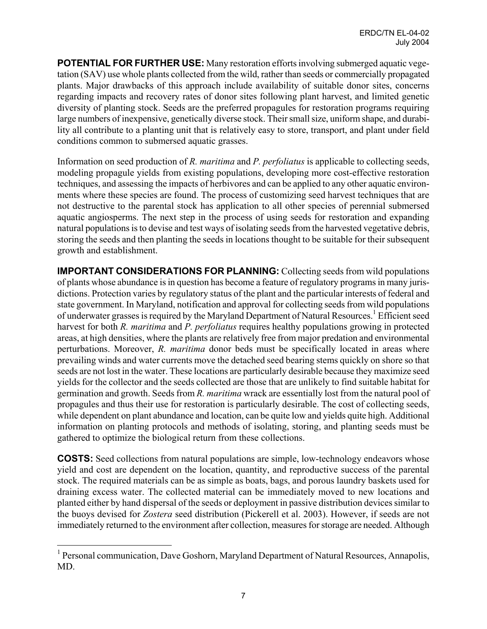**POTENTIAL FOR FURTHER USE:** Many restoration efforts involving submerged aquatic vegetation (SAV) use whole plants collected from the wild, rather than seeds or commercially propagated plants. Major drawbacks of this approach include availability of suitable donor sites, concerns regarding impacts and recovery rates of donor sites following plant harvest, and limited genetic diversity of planting stock. Seeds are the preferred propagules for restoration programs requiring large numbers of inexpensive, genetically diverse stock. Their small size, uniform shape, and durability all contribute to a planting unit that is relatively easy to store, transport, and plant under field conditions common to submersed aquatic grasses.

Information on seed production of *R. maritima* and *P. perfoliatus* is applicable to collecting seeds, modeling propagule yields from existing populations, developing more cost-effective restoration techniques, and assessing the impacts of herbivores and can be applied to any other aquatic environments where these species are found. The process of customizing seed harvest techniques that are not destructive to the parental stock has application to all other species of perennial submersed aquatic angiosperms. The next step in the process of using seeds for restoration and expanding natural populations is to devise and test ways of isolating seeds from the harvested vegetative debris, storing the seeds and then planting the seeds in locations thought to be suitable for their subsequent growth and establishment.

**IMPORTANT CONSIDERATIONS FOR PLANNING:** Collecting seeds from wild populations of plants whose abundance is in question has become a feature of regulatory programs in many jurisdictions. Protection varies by regulatory status of the plant and the particular interests of federal and state government. In Maryland, notification and approval for collecting seeds from wild populations of underwater grasses is required by the Maryland Department of Natural Resources.<sup>1</sup> Efficient seed harvest for both *R. maritima* and *P. perfoliatus* requires healthy populations growing in protected areas, at high densities, where the plants are relatively free from major predation and environmental perturbations. Moreover, *R. maritima* donor beds must be specifically located in areas where prevailing winds and water currents move the detached seed bearing stems quickly on shore so that seeds are not lost in the water. These locations are particularly desirable because they maximize seed yields for the collector and the seeds collected are those that are unlikely to find suitable habitat for germination and growth. Seeds from *R. maritima* wrack are essentially lost from the natural pool of propagules and thus their use for restoration is particularly desirable. The cost of collecting seeds, while dependent on plant abundance and location, can be quite low and yields quite high. Additional information on planting protocols and methods of isolating, storing, and planting seeds must be gathered to optimize the biological return from these collections.

**COSTS:** Seed collections from natural populations are simple, low-technology endeavors whose yield and cost are dependent on the location, quantity, and reproductive success of the parental stock. The required materials can be as simple as boats, bags, and porous laundry baskets used for draining excess water. The collected material can be immediately moved to new locations and planted either by hand dispersal of the seeds or deployment in passive distribution devices similar to the buoys devised for *Zostera* seed distribution (Pickerell et al. 2003). However, if seeds are not immediately returned to the environment after collection, measures for storage are needed. Although

1

<sup>&</sup>lt;sup>1</sup> Personal communication, Dave Goshorn, Maryland Department of Natural Resources, Annapolis, MD.